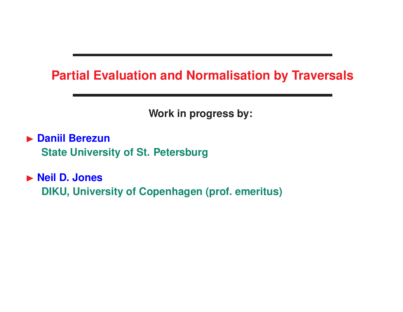## **Partial Evaluation and Normalisation by Traversals**

**Work in progress by:**

**Daniil Berezun State University of St. Petersburg**

**Neil D. Jones DIKU, University of Copenhagen (prof. emeritus)**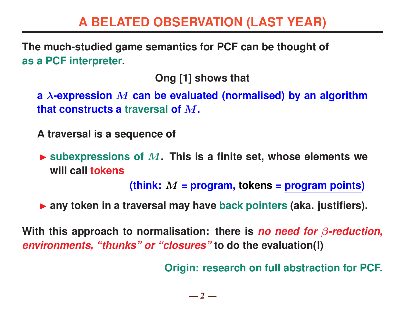## **A BELATED OBSERVATION (LAST YEAR)**

**The much-studied game semantics for PCF can be thought of as a PCF interpreter.**

**Ong [1] shows that**

**a** λ**-expression** M **can be evaluated (normalised) by an algorithm that constructs a traversal of** M**.**

**A traversal is a sequence of**

**Example x Subexpressions of M. This is a finite set, whose elements we will call tokens**

**(think:** M **= program, tokens = program points)**

▶ any token in a traversal may have back pointers (aka. justifiers).

**With this approach to normalisation: there is** *no need for* β*-reduction, environments, "thunks" or "closures"* **to do the evaluation(!)**

**Origin: research on full abstraction for PCF.**

 $-2-$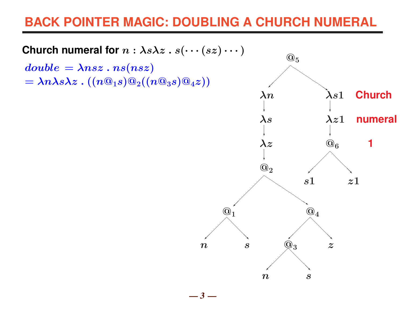## **BACK POINTER MAGIC: DOUBLING A CHURCH NUMERAL**

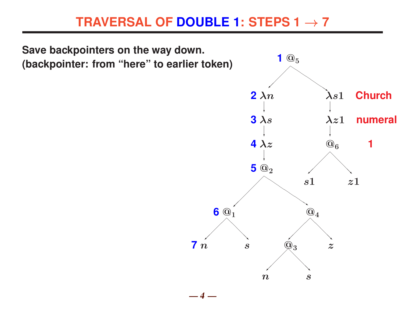## **TRAVERSAL OF DOUBLE 1: STEPS 1** → **7**

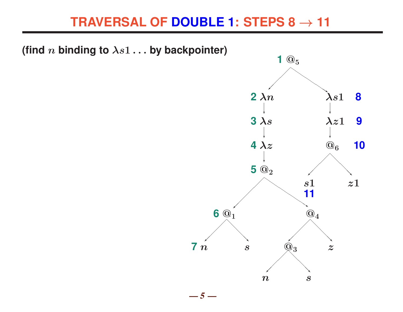## **TRAVERSAL OF DOUBLE 1: STEPS 8** → **11**

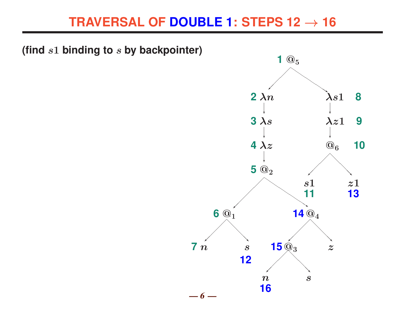## **TRAVERSAL OF DOUBLE 1: STEPS 12** → **16**

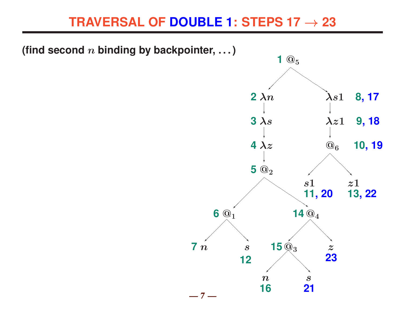## **TRAVERSAL OF DOUBLE 1: STEPS 17** → **23**

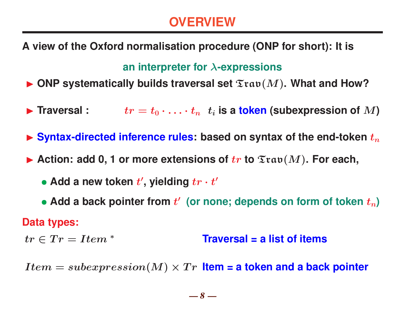## **OVERVIEW**

**A view of the Oxford normalisation procedure (ONP for short): It is**

### **an interpreter for** λ**-expressions**

 $\blacktriangleright$  ONP systematically builds traversal set  $\mathfrak{Inv}(M)$ . What and How?

**Figure 1** Fraversal :  $tr = t_0 \cdot \ldots \cdot t_n$   $t_i$  is a token (subexpression of  $M$ )

 $\triangleright$  Syntax-directed inference rules: based on syntax of the end-token  $t_n$ 

Action: add 0, 1 or more extensions of  $tr$  to  $\mathfrak{Two}(M)$ . For each,

- Add a new token  $t'$ , yielding  $tr \cdot t'$
- Add a back pointer from  $t'$  (or none; depends on form of token  $t_n$ )

### **Data types:**

 $tr \in Tr = Item^*$  **Traversal = a list of items** 

 $Item = subexpression(M) \times Tr$  **Item = a token and a back pointer**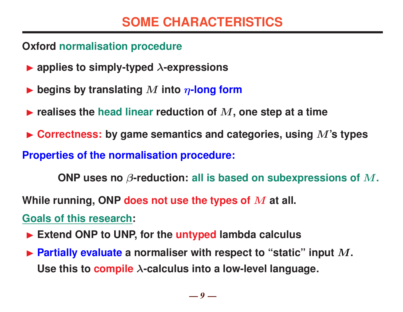### **Oxford normalisation procedure**

- $\blacktriangleright$  applies to simply-typed  $\lambda$ -expressions
- $\blacktriangleright$  begins by translating M into  $\eta$ -long form
- $\blacktriangleright$  realises the head linear reduction of  $M$ , one step at a time
- ▶ Correctness: by game semantics and categories, using M's types

### **Properties of the normalisation procedure:**

**ONP uses no** β**-reduction: all is based on subexpressions of** M**.**

**While running, ONP does not use the types of** M **at all.**

**Goals of this research:**

- ▶ Extend ONP to UNP, for the untyped lambda calculus
- ▶ Partially evaluate a normaliser with respect to "static" input M. **Use this to compile** λ**-calculus into a low-level language.**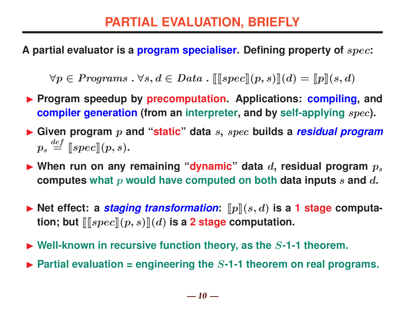**A partial evaluator is a program specialiser. Defining property of** spec**:**

 $\forall p \in Programs : \forall s, d \in Data : \llbracket \llbracket spec \rrbracket(p, s) \rrbracket(d) = \llbracket p \rrbracket(s, d)$ 

- **Program speedup by precomputation. Applications: compiling, and compiler generation (from an interpreter, and by self-applying** spec**).**
- I **Given program** p **and "static" data** s**,** spec **builds a** *residual program*  $p_s \stackrel{def}{=} \llbracket spec \rrbracket (p,s)$ .
- $\blacktriangleright$  When run on any remaining "dynamic" data  $d$ , residual program  $p_s$ **computes what** p **would have computed on both data inputs** s **and** d**.**
- $\blacktriangleright$  Net effect: a *staging transformation*:  $[\![p]\!](s, d)$  is a 1 stage computa**tion; but**  $\llbracket \llbracket spec \rrbracket(p,s) \rrbracket(d)$  is a 2 stage computation.
- ▶ Well-known in recursive function theory, as the S-1-1 theorem.
- $\triangleright$  Partial evaluation = engineering the S-1-1 theorem on real programs.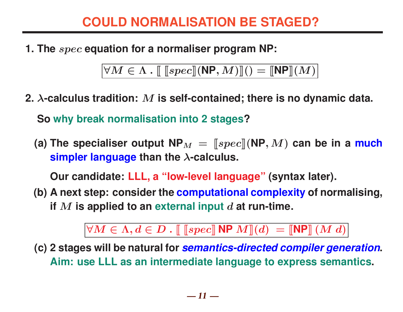## **COULD NORMALISATION BE STAGED?**

**1. The** spec **equation for a normaliser program NP:**

 $\forall M \in \Lambda$ .  $\left[\right.$   $\left[\left. \mathsf{Spec}\right]$   $(\mathsf{NP},M)$   $\right]$   $() =$   $\left[\mathsf{NP}\right]$   $(M)$   $\left[\right]$ 

**2.** λ**-calculus tradition:** M **is self-contained; there is no dynamic data.**

**So why break normalisation into 2 stages?**

(a) The specialiser output  $NP_M =$   $\llbracket spec \rrbracket (NP, M)$  can be in a much **simpler language than the** λ**-calculus.**

**Our candidate: LLL, a "low-level language" (syntax later).**

**(b) A next step: consider the computational complexity of normalising, if** M **is applied to an external input** d **at run-time.**

 $\forall M \in \Lambda, d \in D$  .  $\llbracket \text{[spec]} \text{NP } M \rrbracket(d) = \llbracket \text{NP} \rrbracket (M d)$ 

**(c) 2 stages will be natural for** *semantics-directed compiler generation***. Aim: use LLL as an intermediate language to express semantics.**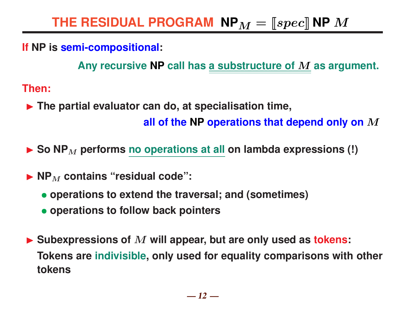### **If NP is semi-compositional:**

**Any recursive NP call has a substructure of** M **as argument.**

**Then:**

- **Figure 1.5 The partial evaluator can do, at specialisation time, all of the NP operations that depend only on** M
- ▶ So NP<sub>M</sub> performs no operations at all on lambda expressions (!)
- $\blacktriangleright$  **NP**<sub>M</sub> contains "residual code":
	- **operations to extend the traversal; and (sometimes)**
	- **operations to follow back pointers**
- ▶ Subexpressions of M will appear, but are only used as **tokens: Tokens are indivisible, only used for equality comparisons with other tokens**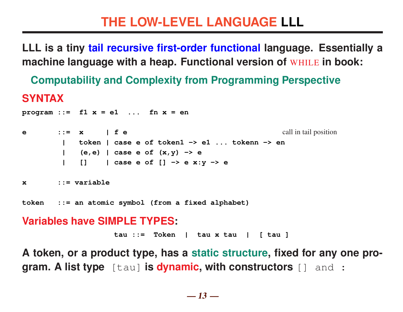**LLL is a tiny tail recursive first-order functional language. Essentially a machine language with a heap. Functional version of** WHILE **in book:**

**Computability and Complexity from Programming Perspective**

### **SYNTAX**

```
program ::= f1 x = e1 ... fn x = en
e ::= x | f e call in tail position
       | token | case e of token1 -> e1 ... tokenn -> en
       | (e,e) | case e of (x,y) -> e
          | [] | case e of [] -> e x:y -> e
x ::= variable
token ::= an atomic symbol (from a fixed alphabet)
Variables have SIMPLE TYPES:
```
**tau ::= Token | tau x tau | [ tau ]**

**A token, or a product type, has a static structure, fixed for any one program. A list type** [tau] **is dynamic, with constructors** [] and :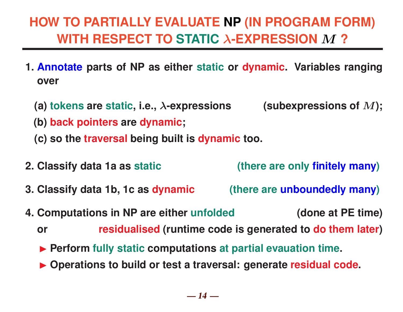# **HOW TO PARTIALLY EVALUATE NP (IN PROGRAM FORM) WITH RESPECT TO STATIC** λ**-EXPRESSION** M **?**

- **1. Annotate parts of NP as either static or dynamic. Variables ranging over**
	- **(a) tokens are static, i.e.,** λ**-expressions (subexpressions of** M**);**
	- **(b) back pointers are dynamic;**
	- **(c) so the traversal being built is dynamic too.**
- **2. Classify data 1a as static (there are only finitely many)**
- **3. Classify data 1b, 1c as dynamic (there are unboundedly many)**
- **4. Computations in NP are either unfolded (done at PE time)**

**or residualised (runtime code is generated to do them later)**

- **Perform fully static computations at partial evauation time.**
- ▶ Operations to build or test a traversal: generate residual code.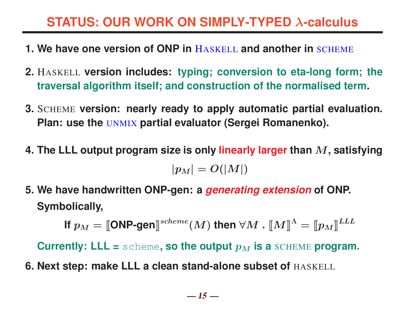## **STATUS: OUR WORK ON SIMPLY-TYPED** λ**-calculus**

- **1. We have one version of ONP in** HASKELL **and another in** SCHEME
- **2.** HASKELL **version includes: typing; conversion to eta-long form; the traversal algorithm itself; and construction of the normalised term.**
- **3.** SCHEME **version: nearly ready to apply automatic partial evaluation. Plan: use the** UNMIX **partial evaluator (Sergei Romanenko).**
- **4. The LLL output program size is only linearly larger than** M**, satisfying**  $|p_M| = O(|M|)$
- **5. We have handwritten ONP-gen: a** *generating extension* **of ONP. Symbolically,**

**If**  $p_M = \llbracket \text{OMP-gen} \rrbracket^{scheme}(M)$  then  $\forall M \cdot \llbracket M \rrbracket^{\Lambda} = \llbracket p_M \rrbracket^{LLL}$ 

**Currently: LLL =** scheme, so the output  $p_M$  is a SCHEME program.

**6. Next step: make LLL a clean stand-alone subset of** HASKELL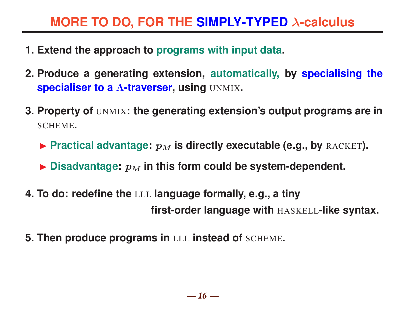## **MORE TO DO, FOR THE SIMPLY-TYPED** λ**-calculus**

- **1. Extend the approach to programs with input data.**
- **2. Produce a generating extension, automatically, by specialising the specialiser to a** Λ**-traverser, using** UNMIX**.**
- **3. Property of** UNMIX**: the generating extension's output programs are in** SCHEME**.**
	- **Practical advantage:**  $p_M$  is directly executable (e.g., by RACKET).
	- $\blacktriangleright$  Disadvantage:  $p_M$  in this form could be system-dependent.
- **4. To do: redefine the** LLL **language formally, e.g., a tiny first-order language with** HASKELL**-like syntax.**
- **5. Then produce programs in** LLL **instead of** SCHEME**.**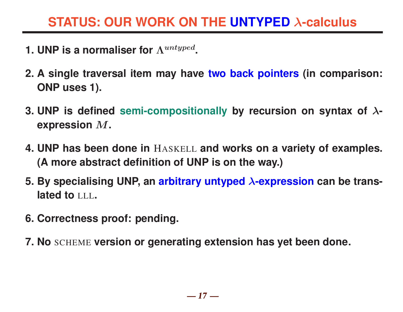## **STATUS: OUR WORK ON THE UNTYPED** λ**-calculus**

- **1. UNP is a normaliser for**  $\Lambda^{untyped}$ .
- **2. A single traversal item may have two back pointers (in comparison: ONP uses 1).**
- **3. UNP is defined semi-compositionally by recursion on syntax of** λ**expression** M**.**
- **4. UNP has been done in** HASKELL **and works on a variety of examples. (A more abstract definition of UNP is on the way.)**
- **5. By specialising UNP, an arbitrary untyped** λ**-expression can be translated to** LLL**.**
- **6. Correctness proof: pending.**
- **7. No** SCHEME **version or generating extension has yet been done.**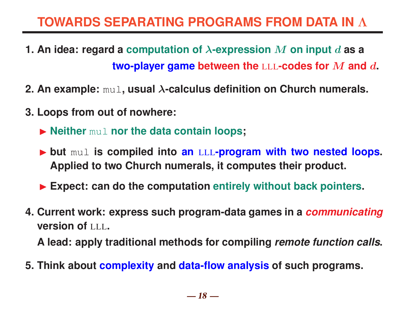# **TOWARDS SEPARATING PROGRAMS FROM DATA IN** Λ

- **1. An idea: regard a computation of** λ**-expression** M **on input** d **as a two-player game between the** LLL**-codes for** M **and** d**.**
- **2. An example:** mul**, usual** λ**-calculus definition on Church numerals.**
- **3. Loops from out of nowhere:**
	- $\blacktriangleright$  **Neither mull nor the data contain loops;**
	- ▶ but mul is compiled into an LLL-program with two nested loops. **Applied to two Church numerals, it computes their product.**
	- ▶ Expect: can do the computation entirely without back pointers.
- **4. Current work: express such program-data games in a** *communicating* **version of** LLL**.**

**A lead: apply traditional methods for compiling** *remote function calls***.**

**5. Think about complexity and data-flow analysis of such programs.**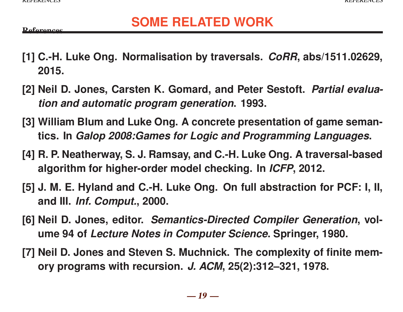**P**oforonces

## **SOME RELATED WORK**

- **[1] C.-H. Luke Ong. Normalisation by traversals.** *CoRR***, abs/1511.02629, 2015.**
- **[2] Neil D. Jones, Carsten K. Gomard, and Peter Sestoft.** *Partial evaluation and automatic program generation***. 1993.**
- **[3] William Blum and Luke Ong. A concrete presentation of game semantics. In** *Galop 2008:Games for Logic and Programming Languages***.**
- **[4] R. P. Neatherway, S. J. Ramsay, and C.-H. Luke Ong. A traversal-based algorithm for higher-order model checking. In** *ICFP***, 2012.**
- **[5] J. M. E. Hyland and C.-H. Luke Ong. On full abstraction for PCF: I, II, and III.** *Inf. Comput.***, 2000.**
- **[6] Neil D. Jones, editor.** *Semantics-Directed Compiler Generation***, volume 94 of** *Lecture Notes in Computer Science***. Springer, 1980.**
- **[7] Neil D. Jones and Steven S. Muchnick. The complexity of finite memory programs with recursion.** *J. ACM***, 25(2):312–321, 1978.**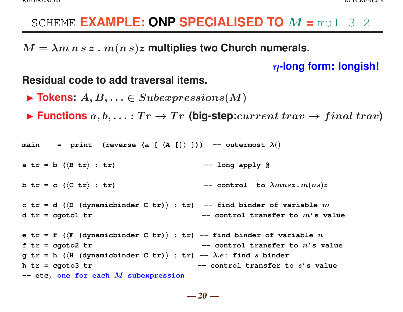### SCHEME **EXAMPLE: ONP SPECIALISED TO** M **=** mul 3 2

 $M = \lambda m n s z$ .  $m(n s) z$  multiplies two Church numerals.

η**-long form: longish!**

#### **Residual code to add traversal items.**

- $\blacktriangleright$  **Tokens:**  $A, B, \ldots \in Subexpressions(M)$
- $\blacktriangleright$  **Functions**  $a, b, \ldots : Tr \rightarrow Tr$  (big-step: *current trav*  $\rightarrow final \; trav$ )

```
main = print (reverse (a [ \langle A []\rangle ])) -- outermost \lambda()
```

```
a tr = b \left( \langle B tr \rangle : tr \right) -- long apply @
```

```
b tr = c (\langle C \ tr \rangle : tr) -- control to \lambda m n s z . m (n s) z
```

```
c tr = d (\langle D \rangle (dynamicbinder C tr)) : tr) -- find binder of variable m
d tr = cgoto1 tr - control transfer to m' s value
```

```
e tr = f (\langle F | (dynamichinder C tr) \rangle : tr) -- find binder of variable n
f tr = cgoto2 tr - control transfer to n' s value
g \mathbf{tr} = \mathbf{h} (\langle \mathbf{H} \rangle (dynamicbinder C \mathbf{tr})) : \mathbf{tr}) -- \lambda.e: find s binder
h tr = cgoto3 tr - control transfer to s's value
-- etc, one for each M subexpression
```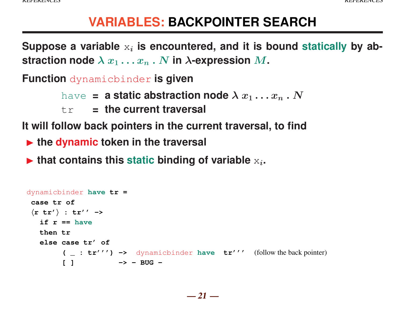## **VARIABLES: BACKPOINTER SEARCH**

Suppose a variable  $x_i$  is encountered, and it is bound statically by ab**straction node**  $\lambda x_1 \ldots x_n$ . N **in**  $\lambda$ -expression M.

**Function** dynamicbinder **is given**

have **= a static abstraction node**  $\lambda x_1 \dots x_n$ . N

tr **= the current traversal**

**It will follow back pointers in the current traversal, to find**

**In the dynamic token in the traversal** 

 $\blacktriangleright$  that contains this static binding of variable  $x_i$ .

```
dynamicbinder have tr =
case tr of
hr tr'i : tr'' ->
  if r == have
  then tr
  else case tr' of
        ( _ : tr''') -> dynamicbinder have tr''' (follow the back pointer)
        [ ] -> - BUG -
```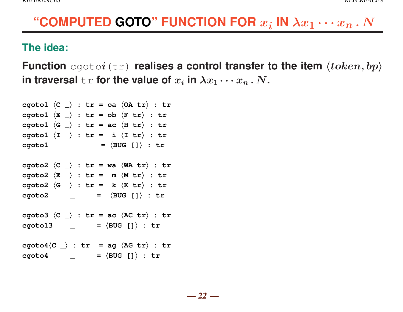# "COMPUTED GOTO" FUNCTION FOR  $x_i$  IN  $\lambda x_1 \cdots x_n$  .  $N$

### **The idea:**

**Function** cgotoi(tr) **realises a control transfer to the item**  $\langle token, bp \rangle$ in traversal  $\texttt{tr}$  for the value of  $x_i$  in  $\lambda x_1 \cdots x_n$  .  $N$ .

```
cgoto1 \langle C \rangle : tr = oa \langle OA \text{ tr} \rangle : tr
cgoto1 \langle E \rangle : tr = ob \langle F \rangle : tr
cgoto1 \langle G \rangle : tr = ac \langle H \text{ tr} \rangle : tr
cgoto1 \langle I \rangle : tr = i \langle I \rangle : tr
cgoto1 \qquad = \langle BUG \mid ] \rangle : trcgoto2 \langle C \rangle : tr = wa \langle WA \t{tr} \rangle : tr
cgoto2 \langle E \rangle : tr = m \langle M \rangle : tr
cgoto2 \langle G \rangle : tr = k \langle K \rangle : tr
cgoto2 \qquad = \langle BUG \mid ] \rangle : trcgoto3 \langle C \rangle : tr = ac \langle AC \text{ tr} \rangle : tr
c \cdot \text{gcd} 13 = \langle \text{BUG} [i] \rangle : \text{tr}c cgoto4\langleC \rangle : tr = ag \langleAG tr\rangle : tr
c \cdot \text{gcd} \cdot \text{gcd} \left( \frac{1}{2} \right) = \langle \text{BUG} \left[ \frac{1}{2} \right) \rangle : tr
```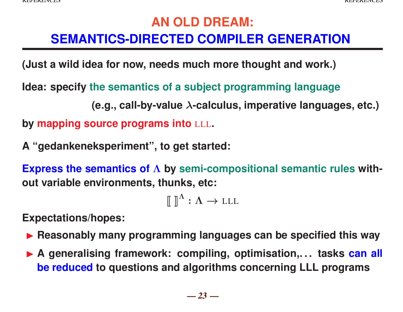## **AN OLD DREAM: SEMANTICS-DIRECTED COMPILER GENERATION**

**(Just a wild idea for now, needs much more thought and work.)**

**Idea: specify the semantics of a subject programming language**

**(e.g., call-by-value** λ**-calculus, imperative languages, etc.) by mapping source programs into** LLL**.**

**A "gedankeneksperiment", to get started:**

**Express the semantics of** Λ **by semi-compositional semantic rules without variable environments, thunks, etc:**

 $[\![\ ]\!]^{\Lambda} : \Lambda \to LLL$ 

**Expectations/hopes:**

- **Exercise 1 Reasonably many programming languages can be specified this way**
- ▶ A generalising framework: compiling, optimisation,... tasks can all **be reduced to questions and algorithms concerning LLL programs**